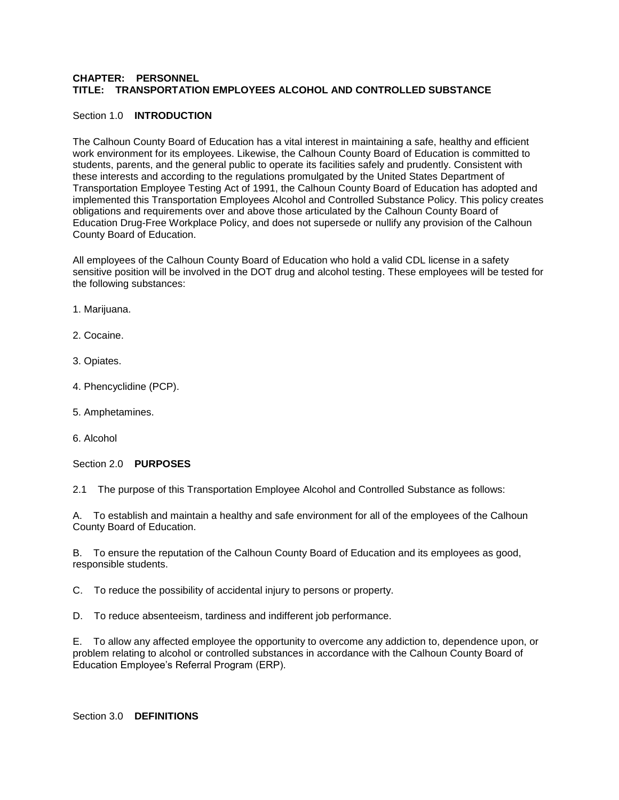# **CHAPTER: PERSONNEL TITLE: TRANSPORTATION EMPLOYEES ALCOHOL AND CONTROLLED SUBSTANCE**

#### Section 1.0 **INTRODUCTION**

The Calhoun County Board of Education has a vital interest in maintaining a safe, healthy and efficient work environment for its employees. Likewise, the Calhoun County Board of Education is committed to students, parents, and the general public to operate its facilities safely and prudently. Consistent with these interests and according to the regulations promulgated by the United States Department of Transportation Employee Testing Act of 1991, the Calhoun County Board of Education has adopted and implemented this Transportation Employees Alcohol and Controlled Substance Policy. This policy creates obligations and requirements over and above those articulated by the Calhoun County Board of Education Drug-Free Workplace Policy, and does not supersede or nullify any provision of the Calhoun County Board of Education.

All employees of the Calhoun County Board of Education who hold a valid CDL license in a safety sensitive position will be involved in the DOT drug and alcohol testing. These employees will be tested for the following substances:

- 1. Marijuana.
- 2. Cocaine.
- 3. Opiates.
- 4. Phencyclidine (PCP).
- 5. Amphetamines.
- 6. Alcohol

Section 2.0 **PURPOSES**

2.1 The purpose of this Transportation Employee Alcohol and Controlled Substance as follows:

A. To establish and maintain a healthy and safe environment for all of the employees of the Calhoun County Board of Education.

B. To ensure the reputation of the Calhoun County Board of Education and its employees as good, responsible students.

C. To reduce the possibility of accidental injury to persons or property.

D. To reduce absenteeism, tardiness and indifferent job performance.

E. To allow any affected employee the opportunity to overcome any addiction to, dependence upon, or problem relating to alcohol or controlled substances in accordance with the Calhoun County Board of Education Employee's Referral Program (ERP).

Section 3.0 **DEFINITIONS**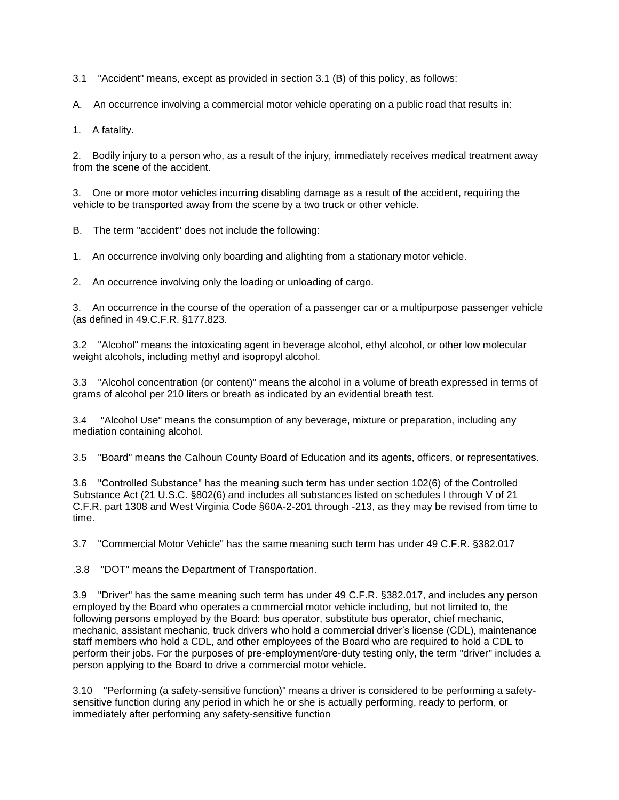3.1 "Accident" means, except as provided in section 3.1 (B) of this policy, as follows:

A. An occurrence involving a commercial motor vehicle operating on a public road that results in:

1. A fatality.

2. Bodily injury to a person who, as a result of the injury, immediately receives medical treatment away from the scene of the accident.

3. One or more motor vehicles incurring disabling damage as a result of the accident, requiring the vehicle to be transported away from the scene by a two truck or other vehicle.

B. The term "accident" does not include the following:

1. An occurrence involving only boarding and alighting from a stationary motor vehicle.

2. An occurrence involving only the loading or unloading of cargo.

3. An occurrence in the course of the operation of a passenger car or a multipurpose passenger vehicle (as defined in 49.C.F.R. §177.823.

3.2 "Alcohol" means the intoxicating agent in beverage alcohol, ethyl alcohol, or other low molecular weight alcohols, including methyl and isopropyl alcohol.

3.3 "Alcohol concentration (or content)" means the alcohol in a volume of breath expressed in terms of grams of alcohol per 210 liters or breath as indicated by an evidential breath test.

3.4 "Alcohol Use" means the consumption of any beverage, mixture or preparation, including any mediation containing alcohol.

3.5 "Board" means the Calhoun County Board of Education and its agents, officers, or representatives.

3.6 "Controlled Substance" has the meaning such term has under section 102(6) of the Controlled Substance Act (21 U.S.C. §802(6) and includes all substances listed on schedules I through V of 21 C.F.R. part 1308 and West Virginia Code §60A-2-201 through -213, as they may be revised from time to time.

3.7 "Commercial Motor Vehicle" has the same meaning such term has under 49 C.F.R. §382.017

.3.8 "DOT" means the Department of Transportation.

3.9 "Driver" has the same meaning such term has under 49 C.F.R. §382.017, and includes any person employed by the Board who operates a commercial motor vehicle including, but not limited to, the following persons employed by the Board: bus operator, substitute bus operator, chief mechanic, mechanic, assistant mechanic, truck drivers who hold a commercial driver's license (CDL), maintenance staff members who hold a CDL, and other employees of the Board who are required to hold a CDL to perform their jobs. For the purposes of pre-employment/ore-duty testing only, the term "driver" includes a person applying to the Board to drive a commercial motor vehicle.

3.10 "Performing (a safety-sensitive function)" means a driver is considered to be performing a safetysensitive function during any period in which he or she is actually performing, ready to perform, or immediately after performing any safety-sensitive function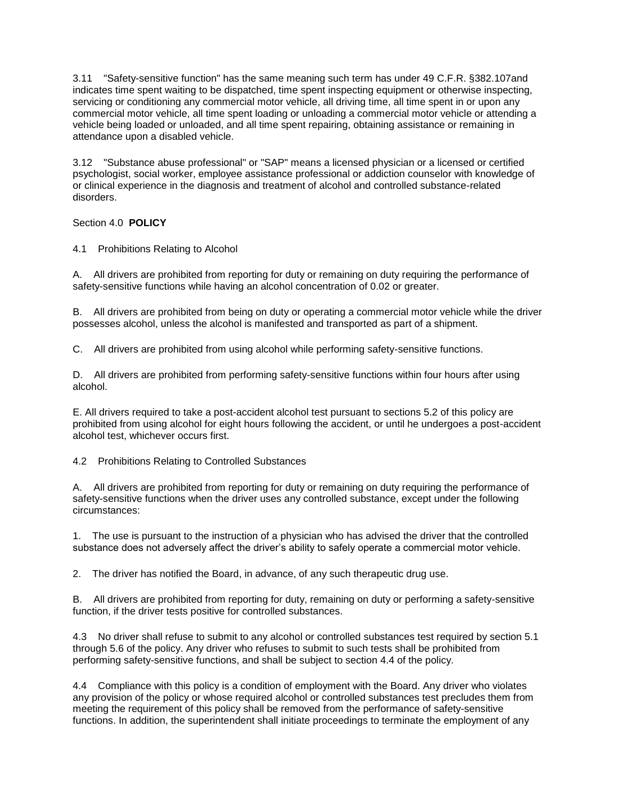3.11 "Safety-sensitive function" has the same meaning such term has under 49 C.F.R. §382.107and indicates time spent waiting to be dispatched, time spent inspecting equipment or otherwise inspecting, servicing or conditioning any commercial motor vehicle, all driving time, all time spent in or upon any commercial motor vehicle, all time spent loading or unloading a commercial motor vehicle or attending a vehicle being loaded or unloaded, and all time spent repairing, obtaining assistance or remaining in attendance upon a disabled vehicle.

3.12 "Substance abuse professional" or "SAP" means a licensed physician or a licensed or certified psychologist, social worker, employee assistance professional or addiction counselor with knowledge of or clinical experience in the diagnosis and treatment of alcohol and controlled substance-related disorders.

Section 4.0 **POLICY**

4.1 Prohibitions Relating to Alcohol

A. All drivers are prohibited from reporting for duty or remaining on duty requiring the performance of safety-sensitive functions while having an alcohol concentration of 0.02 or greater.

B. All drivers are prohibited from being on duty or operating a commercial motor vehicle while the driver possesses alcohol, unless the alcohol is manifested and transported as part of a shipment.

C. All drivers are prohibited from using alcohol while performing safety-sensitive functions.

D. All drivers are prohibited from performing safety-sensitive functions within four hours after using alcohol.

E. All drivers required to take a post-accident alcohol test pursuant to sections 5.2 of this policy are prohibited from using alcohol for eight hours following the accident, or until he undergoes a post-accident alcohol test, whichever occurs first.

4.2 Prohibitions Relating to Controlled Substances

A. All drivers are prohibited from reporting for duty or remaining on duty requiring the performance of safety-sensitive functions when the driver uses any controlled substance, except under the following circumstances:

1. The use is pursuant to the instruction of a physician who has advised the driver that the controlled substance does not adversely affect the driver's ability to safely operate a commercial motor vehicle.

2. The driver has notified the Board, in advance, of any such therapeutic drug use.

B. All drivers are prohibited from reporting for duty, remaining on duty or performing a safety-sensitive function, if the driver tests positive for controlled substances.

4.3 No driver shall refuse to submit to any alcohol or controlled substances test required by section 5.1 through 5.6 of the policy. Any driver who refuses to submit to such tests shall be prohibited from performing safety-sensitive functions, and shall be subject to section 4.4 of the policy.

4.4 Compliance with this policy is a condition of employment with the Board. Any driver who violates any provision of the policy or whose required alcohol or controlled substances test precludes them from meeting the requirement of this policy shall be removed from the performance of safety-sensitive functions. In addition, the superintendent shall initiate proceedings to terminate the employment of any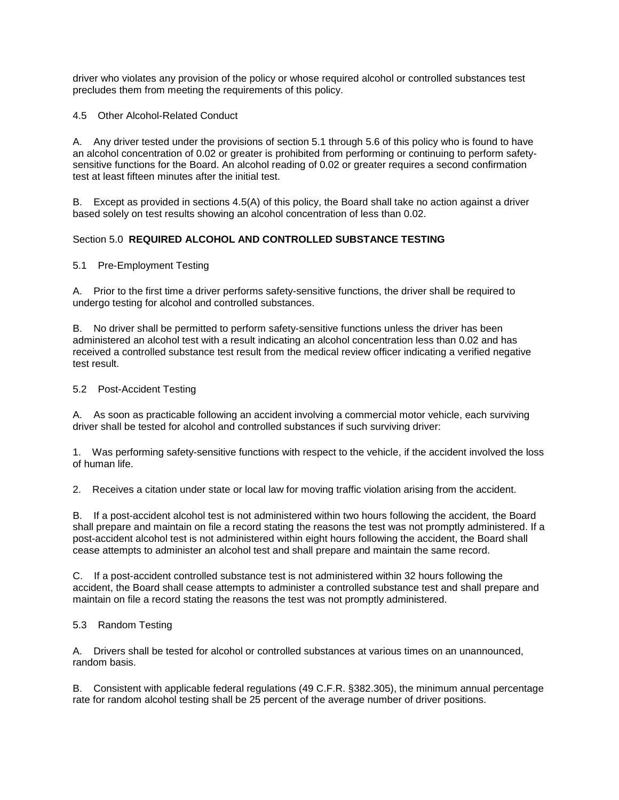driver who violates any provision of the policy or whose required alcohol or controlled substances test precludes them from meeting the requirements of this policy.

4.5 Other Alcohol-Related Conduct

A. Any driver tested under the provisions of section 5.1 through 5.6 of this policy who is found to have an alcohol concentration of 0.02 or greater is prohibited from performing or continuing to perform safetysensitive functions for the Board. An alcohol reading of 0.02 or greater requires a second confirmation test at least fifteen minutes after the initial test.

B. Except as provided in sections 4.5(A) of this policy, the Board shall take no action against a driver based solely on test results showing an alcohol concentration of less than 0.02.

# Section 5.0 **REQUIRED ALCOHOL AND CONTROLLED SUBSTANCE TESTING**

#### 5.1 Pre-Employment Testing

A. Prior to the first time a driver performs safety-sensitive functions, the driver shall be required to undergo testing for alcohol and controlled substances.

B. No driver shall be permitted to perform safety-sensitive functions unless the driver has been administered an alcohol test with a result indicating an alcohol concentration less than 0.02 and has received a controlled substance test result from the medical review officer indicating a verified negative test result.

## 5.2 Post-Accident Testing

A. As soon as practicable following an accident involving a commercial motor vehicle, each surviving driver shall be tested for alcohol and controlled substances if such surviving driver:

1. Was performing safety-sensitive functions with respect to the vehicle, if the accident involved the loss of human life.

2. Receives a citation under state or local law for moving traffic violation arising from the accident.

B. If a post-accident alcohol test is not administered within two hours following the accident, the Board shall prepare and maintain on file a record stating the reasons the test was not promptly administered. If a post-accident alcohol test is not administered within eight hours following the accident, the Board shall cease attempts to administer an alcohol test and shall prepare and maintain the same record.

C. If a post-accident controlled substance test is not administered within 32 hours following the accident, the Board shall cease attempts to administer a controlled substance test and shall prepare and maintain on file a record stating the reasons the test was not promptly administered.

#### 5.3 Random Testing

A. Drivers shall be tested for alcohol or controlled substances at various times on an unannounced, random basis.

B. Consistent with applicable federal regulations (49 C.F.R. §382.305), the minimum annual percentage rate for random alcohol testing shall be 25 percent of the average number of driver positions.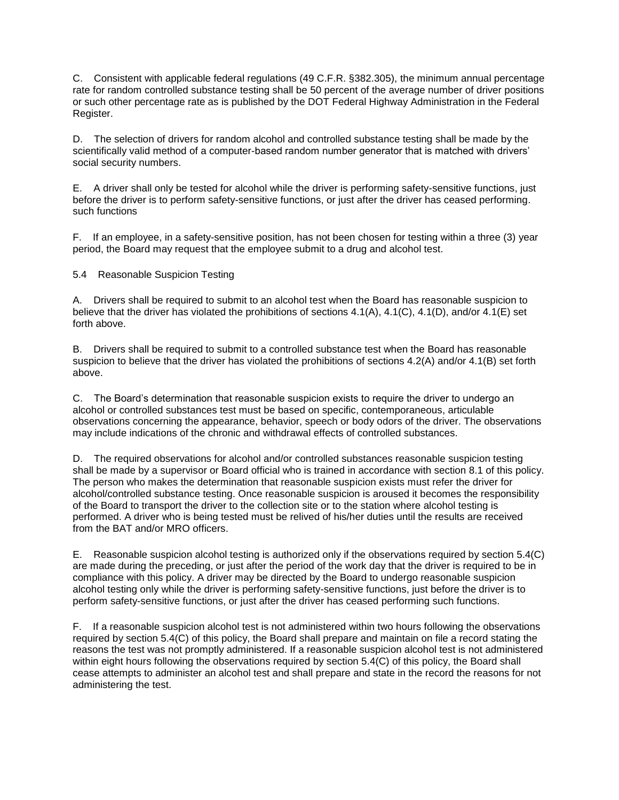C. Consistent with applicable federal regulations (49 C.F.R. §382.305), the minimum annual percentage rate for random controlled substance testing shall be 50 percent of the average number of driver positions or such other percentage rate as is published by the DOT Federal Highway Administration in the Federal Register.

D. The selection of drivers for random alcohol and controlled substance testing shall be made by the scientifically valid method of a computer-based random number generator that is matched with drivers' social security numbers.

E. A driver shall only be tested for alcohol while the driver is performing safety-sensitive functions, just before the driver is to perform safety-sensitive functions, or just after the driver has ceased performing. such functions

F. If an employee, in a safety-sensitive position, has not been chosen for testing within a three (3) year period, the Board may request that the employee submit to a drug and alcohol test.

5.4 Reasonable Suspicion Testing

A. Drivers shall be required to submit to an alcohol test when the Board has reasonable suspicion to believe that the driver has violated the prohibitions of sections 4.1(A), 4.1(C), 4.1(D), and/or 4.1(E) set forth above.

B. Drivers shall be required to submit to a controlled substance test when the Board has reasonable suspicion to believe that the driver has violated the prohibitions of sections 4.2(A) and/or 4.1(B) set forth above.

C. The Board's determination that reasonable suspicion exists to require the driver to undergo an alcohol or controlled substances test must be based on specific, contemporaneous, articulable observations concerning the appearance, behavior, speech or body odors of the driver. The observations may include indications of the chronic and withdrawal effects of controlled substances.

D. The required observations for alcohol and/or controlled substances reasonable suspicion testing shall be made by a supervisor or Board official who is trained in accordance with section 8.1 of this policy. The person who makes the determination that reasonable suspicion exists must refer the driver for alcohol/controlled substance testing. Once reasonable suspicion is aroused it becomes the responsibility of the Board to transport the driver to the collection site or to the station where alcohol testing is performed. A driver who is being tested must be relived of his/her duties until the results are received from the BAT and/or MRO officers.

E. Reasonable suspicion alcohol testing is authorized only if the observations required by section 5.4(C) are made during the preceding, or just after the period of the work day that the driver is required to be in compliance with this policy. A driver may be directed by the Board to undergo reasonable suspicion alcohol testing only while the driver is performing safety-sensitive functions, just before the driver is to perform safety-sensitive functions, or just after the driver has ceased performing such functions.

F. If a reasonable suspicion alcohol test is not administered within two hours following the observations required by section 5.4(C) of this policy, the Board shall prepare and maintain on file a record stating the reasons the test was not promptly administered. If a reasonable suspicion alcohol test is not administered within eight hours following the observations required by section 5.4(C) of this policy, the Board shall cease attempts to administer an alcohol test and shall prepare and state in the record the reasons for not administering the test.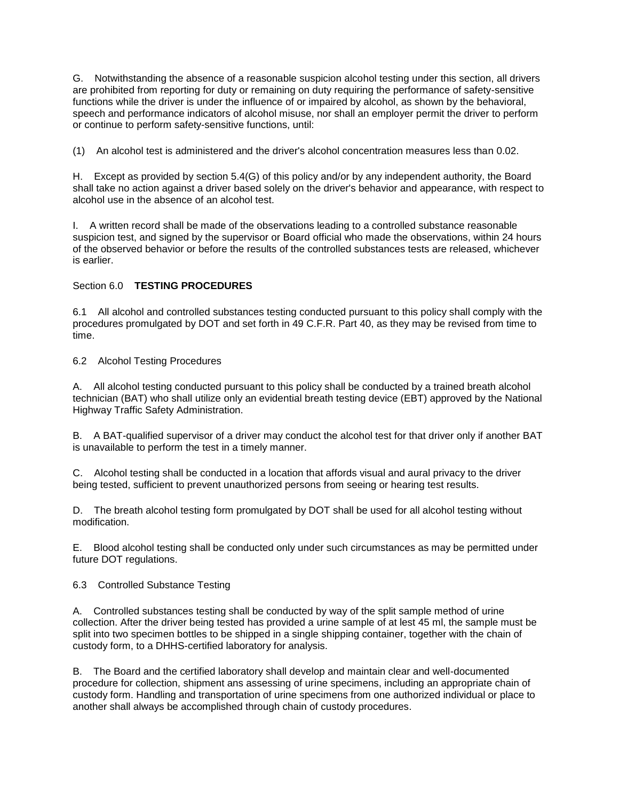G. Notwithstanding the absence of a reasonable suspicion alcohol testing under this section, all drivers are prohibited from reporting for duty or remaining on duty requiring the performance of safety-sensitive functions while the driver is under the influence of or impaired by alcohol, as shown by the behavioral, speech and performance indicators of alcohol misuse, nor shall an employer permit the driver to perform or continue to perform safety-sensitive functions, until:

(1) An alcohol test is administered and the driver's alcohol concentration measures less than 0.02.

H. Except as provided by section 5.4(G) of this policy and/or by any independent authority, the Board shall take no action against a driver based solely on the driver's behavior and appearance, with respect to alcohol use in the absence of an alcohol test.

I. A written record shall be made of the observations leading to a controlled substance reasonable suspicion test, and signed by the supervisor or Board official who made the observations, within 24 hours of the observed behavior or before the results of the controlled substances tests are released, whichever is earlier.

## Section 6.0 **TESTING PROCEDURES**

6.1 All alcohol and controlled substances testing conducted pursuant to this policy shall comply with the procedures promulgated by DOT and set forth in 49 C.F.R. Part 40, as they may be revised from time to time.

## 6.2 Alcohol Testing Procedures

A. All alcohol testing conducted pursuant to this policy shall be conducted by a trained breath alcohol technician (BAT) who shall utilize only an evidential breath testing device (EBT) approved by the National Highway Traffic Safety Administration.

B. A BAT-qualified supervisor of a driver may conduct the alcohol test for that driver only if another BAT is unavailable to perform the test in a timely manner.

C. Alcohol testing shall be conducted in a location that affords visual and aural privacy to the driver being tested, sufficient to prevent unauthorized persons from seeing or hearing test results.

D. The breath alcohol testing form promulgated by DOT shall be used for all alcohol testing without modification.

E. Blood alcohol testing shall be conducted only under such circumstances as may be permitted under future DOT regulations.

6.3 Controlled Substance Testing

A. Controlled substances testing shall be conducted by way of the split sample method of urine collection. After the driver being tested has provided a urine sample of at lest 45 ml, the sample must be split into two specimen bottles to be shipped in a single shipping container, together with the chain of custody form, to a DHHS-certified laboratory for analysis.

B. The Board and the certified laboratory shall develop and maintain clear and well-documented procedure for collection, shipment ans assessing of urine specimens, including an appropriate chain of custody form. Handling and transportation of urine specimens from one authorized individual or place to another shall always be accomplished through chain of custody procedures.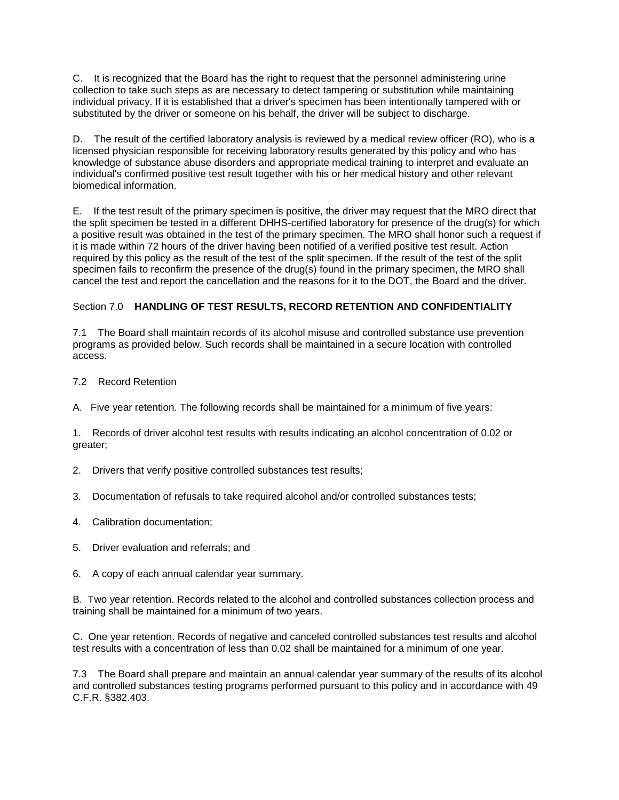C. It is recognized that the Board has the right to request that the personnel administering urine collection to take such steps as are necessary to detect tampering or substitution while maintaining individual privacy. If it is established that a driver's specimen has been intentionally tampered with or substituted by the driver or someone on his behalf, the driver will be subject to discharge.

D. The result of the certified laboratory analysis is reviewed by a medical review officer (RO), who is a licensed physician responsible for receiving laboratory results generated by this policy and who has knowledge of substance abuse disorders and appropriate medical training to interpret and evaluate an individual's confirmed positive test result together with his or her medical history and other relevant biomedical information.

E. If the test result of the primary specimen is positive, the driver may request that the MRO direct that the split specimen be tested in a different DHHS-certified laboratory for presence of the drug(s) for which a positive result was obtained in the test of the primary specimen. The MRO shall honor such a request if it is made within 72 hours of the driver having been notified of a verified positive test result. Action required by this policy as the result of the test of the split specimen. If the result of the test of the split specimen fails to reconfirm the presence of the drug(s) found in the primary specimen, the MRO shall cancel the test and report the cancellation and the reasons for it to the DOT, the Board and the driver.

# Section 7.0 **HANDLING OF TEST RESULTS, RECORD RETENTION AND CONFIDENTIALITY**

7.1 The Board shall maintain records of its alcohol misuse and controlled substance use prevention programs as provided below. Such records shall be maintained in a secure location with controlled access.

- 7.2 Record Retention
- A. Five year retention. The following records shall be maintained for a minimum of five years:

1. Records of driver alcohol test results with results indicating an alcohol concentration of 0.02 or greater;

- 2. Drivers that verify positive controlled substances test results;
- 3. Documentation of refusals to take required alcohol and/or controlled substances tests;
- 4. Calibration documentation;
- 5. Driver evaluation and referrals; and
- 6. A copy of each annual calendar year summary.

B. Two year retention. Records related to the alcohol and controlled substances collection process and training shall be maintained for a minimum of two years.

C. One year retention. Records of negative and canceled controlled substances test results and alcohol test results with a concentration of less than 0.02 shall be maintained for a minimum of one year.

7.3 The Board shall prepare and maintain an annual calendar year summary of the results of its alcohol and controlled substances testing programs performed pursuant to this policy and in accordance with 49 C.F.R. §382.403.